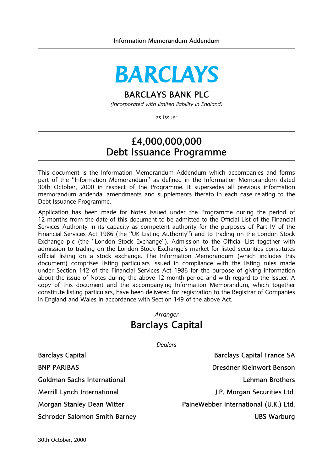# **BARCLAYS**

# BARCLAYS BANK PLC

(Incorporated with limited liability in England)

as Issuer

# £4,000,000,000 Debt Issuance Programme

This document is the Information Memorandum Addendum which accompanies and forms part of the "Information Memorandum" as defined in the Information Memorandum dated 30th October, 2000 in respect of the Programme. It supersedes all previous information memorandum addenda, amendments and supplements thereto in each case relating to the Debt Issuance Programme.

Application has been made for Notes issued under the Programme during the period of 12 months from the date of this document to be admitted to the Official List of the Financial Services Authority in its capacity as competent authority for the purposes of Part IV of the Financial Services Act 1986 (the "UK Listing Authority") and to trading on the London Stock Exchange plc (the "London Stock Exchange"). Admission to the Official List together with admission to trading on the London Stock Exchange's market for listed securities constitutes official listing on a stock exchange. The Information Memorandum (which includes this document) comprises listing particulars issued in compliance with the listing rules made under Section 142 of the Financial Services Act 1986 for the purpose of giving information about the issue of Notes during the above 12 month period and with regard to the Issuer. A copy of this document and the accompanying Information Memorandum, which together constitute listing particulars, have been delivered for registration to the Registrar of Companies in England and Wales in accordance with Section 149 of the above Act.

# Arranger Barclays Capital

**Dealers** 

Barclays Capital **Barclays Capital** Barclays Capital France SA BNP PARIBAS Dresdner Kleinwort Benson Goldman Sachs International Lehman Brothers Merrill Lynch International Allen Securities Ltd. General Allen Books and J.P. Morgan Securities Ltd. Morgan Stanley Dean Witter **PaineWebber International (U.K.) Ltd.** PaineWebber International (U.K.) Ltd. Schroder Salomon Smith Barney New York New York 1985 Warburg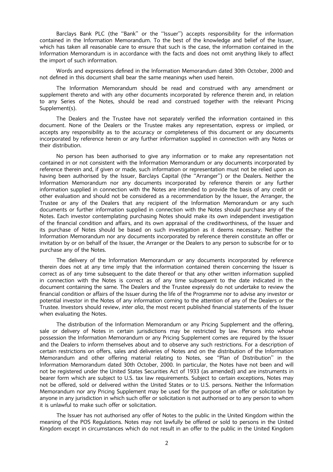Barclays Bank PLC (the "Bank" or the "Issuer") accepts responsibility for the information contained in the Information Memorandum. To the best of the knowledge and belief of the Issuer, which has taken all reasonable care to ensure that such is the case, the information contained in the Information Memorandum is in accordance with the facts and does not omit anything likely to affect the import of such information.

Words and expressions defined in the Information Memorandum dated 30th October, 2000 and not defined in this document shall bear the same meanings when used herein.

The Information Memorandum should be read and construed with any amendment or supplement thereto and with any other documents incorporated by reference therein and, in relation to any Series of the Notes, should be read and construed together with the relevant Pricing Supplement(s).

The Dealers and the Trustee have not separately verified the information contained in this document. None of the Dealers or the Trustee makes any representation, express or implied, or accepts any responsibility as to the accuracy or completeness of this document or any documents incorporated by reference herein or any further information supplied in connection with any Notes or their distribution.

No person has been authorised to give any information or to make any representation not contained in or not consistent with the Information Memorandum or any documents incorporated by reference therein and, if given or made, such information or representation must not be relied upon as having been authorised by the Issuer, Barclays Capital (the "Arranger") or the Dealers. Neither the Information Memorandum nor any documents incorporated by reference therein or any further information supplied in connection with the Notes are intended to provide the basis of any credit or other evaluation and should not be considered as a recommendation by the Issuer, the Arranger, the Trustee or any of the Dealers that any recipient of the Information Memorandum or any such documents or further information supplied in connection with the Notes should purchase any of the Notes. Each investor contemplating purchasing Notes should make its own independent investigation of the financial condition and affairs, and its own appraisal of the creditworthiness, of the Issuer and its purchase of Notes should be based on such investigation as it deems necessary. Neither the Information Memorandum nor any documents incorporated by reference therein constitute an offer or invitation by or on behalf of the Issuer, the Arranger or the Dealers to any person to subscribe for or to purchase any of the Notes.

The delivery of the Information Memorandum or any documents incorporated by reference therein does not at any time imply that the information contained therein concerning the Issuer is correct as of any time subsequent to the date thereof or that any other written information supplied in connection with the Notes is correct as of any time subsequent to the date indicated in the document containing the same. The Dealers and the Trustee expressly do not undertake to review the financial condition or affairs of the Issuer during the life of the Programme nor to advise any investor or potential investor in the Notes of any information coming to the attention of any of the Dealers or the Trustee. Investors should review, inter alia, the most recent published financial statements of the Issuer when evaluating the Notes.

The distribution of the Information Memorandum or any Pricing Supplement and the offering, sale or delivery of Notes in certain jurisdictions may be restricted by law. Persons into whose possession the Information Memorandum or any Pricing Supplement comes are required by the Issuer and the Dealers to inform themselves about and to observe any such restrictions. For a description of certain restrictions on offers, sales and deliveries of Notes and on the distribution of the Information Memorandum and other offering material relating to Notes, see "Plan of Distribution" in the Information Memorandum dated 30th October, 2000. In particular, the Notes have not been and will not be registered under the United States Securities Act of 1933 (as amended) and are instruments in bearer form which are subject to U.S. tax law requirements. Subject to certain exceptions, Notes may not be offered, sold or delivered within the United States or to U.S. persons. Neither the Information Memorandum nor any Pricing Supplement may be used for the purpose of an offer or solicitation by anyone in any jurisdiction in which such offer or solicitation is not authorised or to any person to whom it is unlawful to make such offer or solicitation.

The Issuer has not authorised any offer of Notes to the public in the United Kingdom within the meaning of the POS Regulations. Notes may not lawfully be offered or sold to persons in the United Kingdom except in circumstances which do not result in an offer to the public in the United Kingdom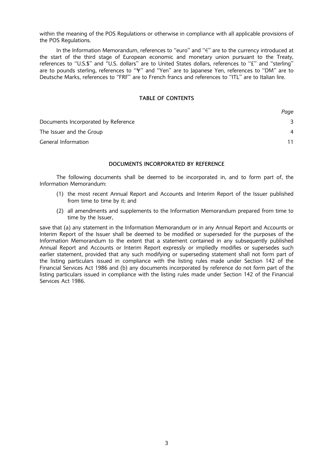within the meaning of the POS Regulations or otherwise in compliance with all applicable provisions of the POS Regulations.

In the Information Memorandum, references to "euro" and " $\epsilon$ " are to the currency introduced at the start of the third stage of European economic and monetary union pursuant to the Treaty, references to "U.S.\$" and "U.S. dollars" are to United States dollars, references to "£" and "sterling" are to pounds sterling, references to "\"" and "Yen" are to Japanese Yen, references to "DM" are to Deutsche Marks, references to "FRF" are to French francs and references to "ITL" are to Italian lire.

## TABLE OF CONTENTS

|                                     | Page |
|-------------------------------------|------|
| Documents Incorporated by Reference |      |
| The Issuer and the Group            | 4    |
| General Information                 |      |

# DOCUMENTS INCORPORATED BY REFERENCE

The following documents shall be deemed to be incorporated in, and to form part of, the Information Memorandum:

- (1) the most recent Annual Report and Accounts and Interim Report of the Issuer published from time to time by it; and
- (2) all amendments and supplements to the Information Memorandum prepared from time to time by the Issuer,

save that (a) any statement in the Information Memorandum or in any Annual Report and Accounts or Interim Report of the Issuer shall be deemed to be modified or superseded for the purposes of the Information Memorandum to the extent that a statement contained in any subsequently published Annual Report and Accounts or Interim Report expressly or impliedly modifies or supersedes such earlier statement, provided that any such modifying or superseding statement shall not form part of the listing particulars issued in compliance with the listing rules made under Section 142 of the Financial Services Act 1986 and (b) any documents incorporated by reference do not form part of the listing particulars issued in compliance with the listing rules made under Section 142 of the Financial Services Act 1986.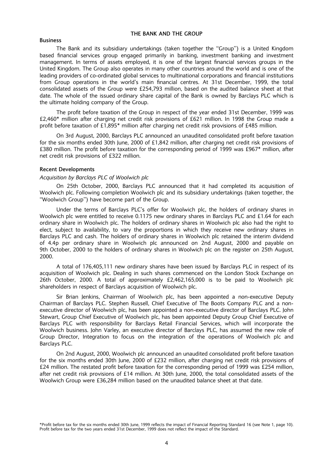## THE BANK AND THE GROUP

#### Business

The Bank and its subsidiary undertakings (taken together the "Group") is a United Kingdom based financial services group engaged primarily in banking, investment banking and investment management. In terms of assets employed, it is one of the largest financial services groups in the United Kingdom. The Group also operates in many other countries around the world and is one of the leading providers of co-ordinated global services to multinational corporations and financial institutions from Group operations in the world's main financial centres. At 31st December, 1999, the total consolidated assets of the Group were £254,793 million, based on the audited balance sheet at that date. The whole of the issued ordinary share capital of the Bank is owned by Barclays PLC which is the ultimate holding company of the Group.

The profit before taxation of the Group in respect of the year ended 31st December, 1999 was £2,460\* million after charging net credit risk provisions of £621 million. In 1998 the Group made a profit before taxation of £1,895\* million after charging net credit risk provisions of £485 million.

On 3rd August, 2000, Barclays PLC announced an unaudited consolidated profit before taxation for the six months ended 30th June, 2000 of £1,842 million, after charging net credit risk provisions of £380 million. The profit before taxation for the corresponding period of 1999 was £967<sup>\*</sup> million, after net credit risk provisions of £322 million.

### Recent Developments

#### Acquisition by Barclays PLC of Woolwich plc

On 25th October, 2000, Barclays PLC announced that it had completed its acquisition of Woolwich plc. Following completion Woolwich plc and its subsidiary undertakings (taken together, the "Woolwich Group") have become part of the Group.

Under the terms of Barclays PLC's offer for Woolwich plc, the holders of ordinary shares in Woolwich plc were entitled to receive 0.1175 new ordinary shares in Barclays PLC and £1.64 for each ordinary share in Woolwich plc. The holders of ordinary shares in Woolwich plc also had the right to elect, subject to availability, to vary the proportions in which they receive new ordinary shares in Barclays PLC and cash. The holders of ordinary shares in Woolwich plc retained the interim dividend of 4.4p per ordinary share in Woolwich plc announced on 2nd August, 2000 and payable on 9th October, 2000 to the holders of ordinary shares in Woolwich plc on the register on 25th August, 2000.

A total of 176,405,111 new ordinary shares have been issued by Barclays PLC in respect of its acquisition of Woolwich plc. Dealing in such shares commenced on the London Stock Exchange on 26th October, 2000. A total of approximately £2,462,165,000 is to be paid to Woolwich plc shareholders in respect of Barclays acquisition of Woolwich plc.

Sir Brian Jenkins, Chairman of Woolwich plc, has been appointed a non-executive Deputy Chairman of Barclays PLC. Stephen Russell, Chief Executive of The Boots Company PLC and a nonexecutive director of Woolwich plc, has been appointed a non-executive director of Barclays PLC. John Stewart, Group Chief Executive of Woolwich plc, has been appointed Deputy Group Chief Executive of Barclays PLC with responsibility for Barclays Retail Financial Services, which will incorporate the Woolwich business. John Varley, an executive director of Barclays PLC, has assumed the new role of Group Director, Integration to focus on the integration of the operations of Woolwich plc and Barclays PLC.

On 2nd August, 2000, Woolwich plc announced an unaudited consolidated profit before taxation for the six months ended 30th June, 2000 of £232 million, after charging net credit risk provisions of £24 million. The restated profit before taxation for the corresponding period of 1999 was £254 million, after net credit risk provisions of £14 million. At 30th June, 2000, the total consolidated assets of the Woolwich Group were £36,284 million based on the unaudited balance sheet at that date.

<sup>\*</sup>Profit before tax for the six months ended 30th June, 1999 reflects the impact of Financial Reporting Standard 16 (see Note 1, page 10). Profit before tax for the two years ended 31st December, 1999 does not reflect the impact of the Standard.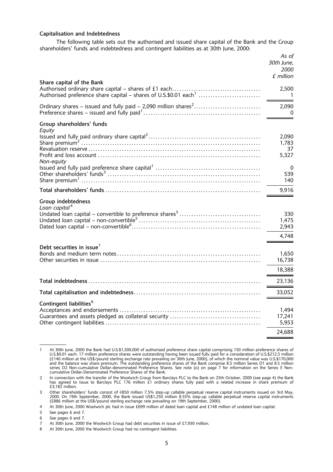# Capitalisation and Indebtedness

The following table sets out the authorised and issued share capital of the Bank and the Group shareholders' funds and indebtedness and contingent liabilities as at 30th June, 2000:

|                                                                             | As of<br>30th June,<br>2000<br>£ million  |
|-----------------------------------------------------------------------------|-------------------------------------------|
| Share capital of the Bank                                                   | 2,500<br>-1                               |
| Ordinary shares – issued and fully paid – 2,090 million shares <sup>2</sup> | 2,090<br>0                                |
| Group shareholders' funds<br>Equity<br>Non-equity                           | 2,090<br>1,783<br>37<br>5,327<br>0<br>539 |
|                                                                             | 140                                       |
|                                                                             | 9,916                                     |
| Group indebtedness<br>Loan capital <sup>4</sup>                             | 330<br>1,475<br>2,943<br>4,748            |
| Debt securities in issue <sup>7</sup>                                       | 1,650<br>16,738<br>18,388                 |
|                                                                             | 23,136                                    |
|                                                                             | 33,052                                    |
| Contingent liabilities <sup>8</sup>                                         | 1,494<br>17,241<br>5,953<br>24,688        |

<sup>1</sup> At 30th June, 2000 the Bank had U.S.\$1,500,000 of authorised preference share capital comprising 150 million preference shares of U.S.\$0.01 each. 17 million preference shares were outstanding having been issued fully paid for a consideration of U.S.\$212.5 million<br>(£140 million at the US\$/pound sterling exchange rate prevailing on 30th June, 2000), of and the balance was share premium. The outstanding preference shares of the Bank comprise 8.5 million Series D1 and 8.5 million series D2 Non-cumulative Dollar-denominated Preference Shares. See note (o) on page 7 for information on the Series E Noncumulative Dollar-Denominated Preference Shares of the Bank.

<sup>2</sup> In connection with the transfer of the Woolwich Group from Barclays PLC to the Bank on 25th October, 2000 (see page 4) the Bank has agreed to issue to Barclays PLC 176 million £1 ordinary shares fully paid with a related increase in share premium of £3,182 million.

<sup>3</sup> Other shareholders' funds consist of €850 million 7.5% step-up callable perpetual reserve capital instruments issued on 3rd May,<br>2000. On 19th September, 2000, the Bank issued US\$1,250 million 8.55% step-up callable per

<sup>4</sup> At 30th June, 2000 Woolwich plc had in issue £699 million of dated loan capital and £148 million of undated loan capital.

<sup>5</sup> See pages 6 and 7.

<sup>6</sup> See pages 6 and 7.

<sup>7</sup> At 30th June, 2000 the Woolwich Group had debt securities in issue of £7,930 million.

<sup>8</sup> At 30th June, 2000 the Woolwich Group had no contingent liabilities.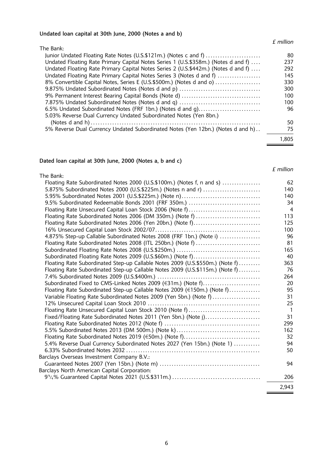#### Undated loan capital at 30th June, 2000 (Notes a and b)

#### £ million

| The Bank:                                                                          |       |
|------------------------------------------------------------------------------------|-------|
| Junior Undated Floating Rate Notes (U.S.\$121m.) (Notes c and f)                   | 80    |
| Undated Floating Rate Primary Capital Notes Series 1 (U.S.\$358m.) (Notes d and f) | 237   |
| Undated Floating Rate Primary Capital Notes Series 2 (U.S.\$442m.) (Notes d and f) | 292   |
| Undated Floating Rate Primary Capital Notes Series 3 (Notes d and f)               | 145   |
| 8% Convertible Capital Notes, Series E (U.S.\$500m.) (Notes d and o)               | 330   |
|                                                                                    | 300   |
| 9% Permanent Interest Bearing Capital Bonds (Note d)                               | 100   |
| 7.875% Undated Subordinated Notes (Notes d and q)                                  | 100   |
| 6.5% Undated Subordinated Notes (FRF 1bn.) (Notes d and g)                         | 96    |
| 5.03% Reverse Dual Currency Undated Subordinated Notes (Yen 8bn.)                  |       |
|                                                                                    | 50    |
| 5% Reverse Dual Currency Undated Subordinated Notes (Yen 12bn.) (Notes d and h)    | 75    |
|                                                                                    | 1,805 |

#### Dated loan capital at 30th June, 2000 (Notes a, b and c)

# The Bank: Floating Rate Subordinated Notes 2000 (U.S.\$100m.) (Notes f, n and s) . . . . . . . . . . . . . . . . 62 5.875% Subordinated Notes 2000 (U.S.\$225m.) (Notes n and r) . . . . . . . . . . . . . . . . . . . . . . . . 140 5.95% Subordinated Notes 2001 (U.S.\$225m.) (Note n). . . . . . . . . . . . . . . . . . . . . . . . . . . . . . . . . 140 9.5% Subordinated Redeemable Bonds 2001 (FRF 350m.) . . . . . . . . . . . . . . . . . . . . . . . . . . . . . . 34 Floating Rate Unsecured Capital Loan Stock 2006 (Note f) . . . . . . . . . . . . . . . . . . . . . . . . . . . . . . 4 Floating Rate Subordinated Notes 2006 (DM 350m.) (Note f) . . . . . . . . . . . . . . . . . . . . . . . . . . . 113 Floating Rate Subordinated Notes 2006 (Yen 20bn.) (Note f). . . . . . . . . . . . . . . . . . . . . . . . . . . . 125 16% Unsecured Capital Loan Stock 2002/07. . . . . . . . . . . . . . . . . . . . . . . . . . . . . . . . . . . . . . . . . . . . 100 4.875% Step-up Callable Subordinated Notes 2008 (FRF 1bn.) (Note i) . . . . . . . . . . . . . . . . . 96 Floating Rate Subordinated Notes 2008 (ITL 250bn.) (Note f) . . . . . . . . . . . . . . . . . . . . . . . . . . . 81 Subordinated Floating Rate Notes 2008 (U.S.\$250m.) . . . . . . . . . . . . . . . . . . . . . . . . . . . . . . . . . . . 165 Subordinated Floating Rate Notes 2009 (U.S.\$60m.) (Note f). . . . . . . . . . . . . . . . . . . . . . . . . . . . 40 Floating Rate Subordinated Step-up Callable Notes 2009 (U.S.\$550m.) (Note f) ......... Floating Rate Subordinated Step-up Callable Notes 2009 (U.S.\$115m.) (Note f) .......... 76 7.4% Subordinated Notes 2009 (U.S.\$400m.) . . . . . . . . . . . . . . . . . . . . . . . . . . . . . . . . . . . . . . . . . . . 264 Subordinated Fixed to CMS-Linked Notes 2009 (e31m.) (Note f). . . . . . . . . . . . . . . . . . . . . . . . 20 Floating Rate Subordinated Step-up Callable Notes 2009 (e150m.) (Note f). . . . . . . . . . . . . 95 Variable Floating Rate Subordinated Notes 2009 (Yen 5bn.) (Note f) . . . . . . . . . . . . . . . . . . . . 31 12% Unsecured Capital Loan Stock 2010 . . . . . . . . . . . . . . . . . . . . . . . . . . . . . . . . . . . . . . . . . . . . . . . 25 Floating Rate Unsecured Capital Loan Stock 2010 (Note f) . . . . . . . . . . . . . . . . . . . . . . . . . . . . . . 1 Fixed/Floating Rate Subordinated Notes 2011 (Yen 5bn.) (Note j). . . . . . . . . . . . . . . . . . . . . . . 31 Floating Rate Subordinated Notes 2012 (Note f) . . . . . . . . . . . . . . . . . . . . . . . . . . . . . . . . . . . . . . . . 299 5.5% Subordinated Notes 2013 (DM 500m.) (Note k). . . . . . . . . . . . . . . . . . . . . . . . . . . . . . . . . . . 162 Floating Rate Subordinated Notes 2019 (e50m.) (Note f). . . . . . . . . . . . . . . . . . . . . . . . . . . . . . . . 32 5.4% Reverse Dual Currency Subordinated Notes 2027 (Yen 15bn.) (Note 1) . . . . . . . . . . . 94 6.33% Subordinated Notes 2032 . . . . . . . . . . . . . . . . . . . . . . . . . . . . . . . . . . . . . . . . . . . . . . . . . . . . . . . . 50 Barclays Overseas Investment Company B.V.: Guaranteed Notes 2007 (Yen 15bn.) (Note m) . . . . . . . . . . . . . . . . . . . . . . . . . . . . . . . . . . . . . . . . . . 94 Barclays North American Capital Corporation: 93Ï/4% Guaranteed Capital Notes 2021 (U.S.\$311m.) . . . . . . . . . . . . . . . . . . . . . . . . . . . . . . . . . . . . . 206 2,943

#### £ million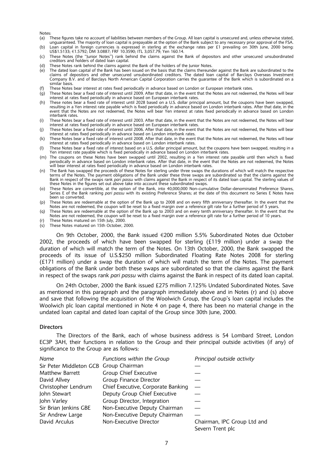Notes:

- (a) These figures take no account of liabilities between members of the Group. All loan capital is unsecured and, unless otherwise stated, unguaranteed. The majority of loan capital is prepayable at the option of the Bank subject to any necessary prior approval of the FSA. (b) Loan capital in foreign currencies is expressed in sterling at the exchange rates per £1 prevailing on 30th June, 2000 being: US\$1.5133; e1.5792; DM 3.0887; FRF 10.3590; ITL 3,057.79; Yen 160.14.
- (c) These Notes (the ``Junior Notes'') rank behind the claims against the Bank of depositors and other unsecured unsubordinated creditors and holders of dated loan capital.
- (d) These Notes rank behind the claims against the Bank of the holders of the Junior Notes.
- $\overrightarrow{e}$  The dated loan capital of the Bank has been issued on the basis that the claims thereunder against the Bank are subordinated to the claims of depositors and other unsecured unsubordinated creditors. The dated loan capital of Barclays Overseas Investment Company B.V. and of Barclays North American Capital Corporation carries the guarantee of the Bank which is subordinated on a similar basis.
- (f) These Notes bear interest at rates fixed periodically in advance based on London or European interbank rates.
- (g) These Notes bear a fixed rate of interest until 2009. After that date, in the event that the Notes are not redeemed, the Notes will bear interest at rates fixed periodically in advance based on European interbank rates.
- (h) These notes bear a fixed rate of interest until 2028 based on a U.S. dollar principal amount, but the coupons have been swapped. resulting in a Yen interest rate payable which is fixed periodically in advance based on London interbank rates. After that date, in the event that the Notes are not redeemed, the Notes will bear Yen interest at rates fixed periodically in advance based on London interbank rates.
- (i) These Notes bear a fixed rate of interest until 2003. After that date, in the event that the Notes are not redeemed, the Notes will bear interest at rates fixed periodically in advance based on European interbank rates.
- (j) These Notes bear a fixed rate of interest until 2006. After that date, in the event that the Notes are not redeemed, the Notes will bear interest at rates fixed periodically in advance based on London interbank rates.
- (k) These Notes bear a fixed rate of interest until 2008. After that date, in the event that the Notes are not redeemed, the Notes will bear interest at rates fixed periodically in advance based on London interbank rates.
- (I) These Notes bear a fixed rate of interest based on a U.S. dollar principal amount, but the coupons have been swapped, resulting in a Yen interest rate payable which is fixed periodically in advance based on London interbank rates.
- (m) The coupons on these Notes have been swapped until 2002, resulting in a Yen interest rate payable until then which is fixed periodically in advance based on London interbank rates. After that date, in the event that the Notes are not redeemed, the Notes will bear interest at rates fixed periodically in advance based on London interbank rates.
- (n) The Bank has swapped the proceeds of these Notes for sterling under three swaps the durations of which will match the respective terms of the Notes. The payment obligations of the Bank under these three swaps are subordinated so that the claims against the Bank in respect of the swaps rank pari passu with claims against the Bank in respect of its dated loan capital. The sterling values of these Notes in the figures set out above take into account these subordinated swaps.
- (o) These Notes are convertible, at the option of the Bank, into 40,000,000 Non-cumulative Dollar-denominated Preference Shares, Series E of the Bank ranking pari passu with its existing Preference Shares; at the date of this document no Series E Notes have been so converted.
- (p) These Notes are redeemable at the option of the Bank up to 2008 and on every fifth anniversary thereafter. In the event that the<br>Notes are not redeemed, the coupon will be reset to a fixed margin over a reference gilt
- (q) These Notes are redeemable at the option of the Bank up to 2003 and on every tenth anniversary thereafter. In the event that the Notes are not redeemed, the coupon will be reset to a fixed margin over a reference gilt rate for a further period of 10 years.
- (r) These Notes matured on 15th July, 2000.
- $(s)$  These Notes matured on 15th October, 2000.

On 9th October, 2000, the Bank issued  $\in$  200 million 5.5% Subordinated Notes due October 2002, the proceeds of which have been swapped for sterling (£119 million) under a swap the duration of which will match the term of the Notes. On 13th October, 2000, the Bank swapped the proceeds of its issue of U.S.\$250 million Subordinated Floating Rate Notes 2008 for sterling (£171 million) under a swap the duration of which will match the term of the Notes. The payment obligations of the Bank under both these swaps are subordinated so that the claims against the Bank in respect of the swaps rank pari passu with claims against the Bank in respect of its dated loan capital.

On 24th October, 2000 the Bank issued £275 million 7.125% Undated Subordinated Notes. Save as mentioned in this paragraph and the paragraph immediately above and in Notes (r) and (s) above and save that following the acquisition of the Woolwich Group, the Group's loan capital includes the Woolwich plc loan capital mentioned in Note 4 on page 4, there has been no material change in the undated loan capital and dated loan capital of the Group since 30th June, 2000.

#### **Directors**

The Directors of the Bank, each of whose business address is 54 Lombard Street, London EC3P 3AH, their functions in relation to the Group and their principal outside activities (if any) of significance to the Group are as follows:

| Name                                   | Functions within the Group         | Principal outside activity  |
|----------------------------------------|------------------------------------|-----------------------------|
| Sir Peter Middleton GCB Group Chairman |                                    |                             |
| Matthew Barrett                        | Group Chief Executive              |                             |
| David Allvey                           | Group Finance Director             |                             |
| Christopher Lendrum                    | Chief Executive, Corporate Banking |                             |
| John Stewart                           | Deputy Group Chief Executive       |                             |
| John Varley                            | Group Director, Integration        |                             |
| Sir Brian Jenkins GBE                  | Non-Executive Deputy Chairman      |                             |
| Sir Andrew Large                       | Non-Executive Deputy Chairman      |                             |
| David Arculus                          | Non-Executive Director             | Chairman, IPC Group Ltd and |
|                                        |                                    | Severn Trent plc            |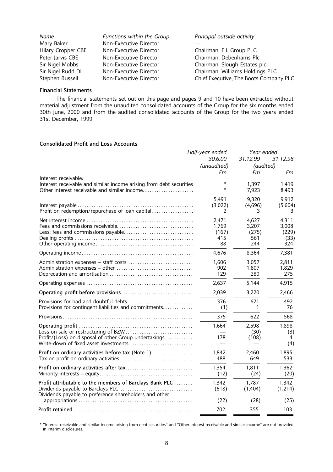| Name               | Functions within the Group | Principal outside activity             |
|--------------------|----------------------------|----------------------------------------|
| Mary Baker         | Non-Executive Director     |                                        |
| Hilary Cropper CBE | Non-Executive Director     | Chairman, F.I. Group PLC               |
| Peter Jarvis CBE   | Non-Executive Director     | Chairman, Debenhams Plc                |
| Sir Nigel Mobbs    | Non-Executive Director     | Chairman, Slough Estates plc           |
| Sir Nigel Rudd DL  | Non-Executive Director     | Chairman, Williams Holdings PLC        |
| Stephen Russell    | Non-Executive Director     | Chief Executive, The Boots Company PLC |

# Financial Statements

The financial statements set out on this page and pages 9 and 10 have been extracted without material adjustment from the unaudited consolidated accounts of the Group for the six months ended 30th June, 2000 and from the audited consolidated accounts of the Group for the two years ended 31st December, 1999.

## Consolidated Profit and Loss Accounts

|                                                                                                                                                        | Half-year ended                       | Year ended                            |                                        |
|--------------------------------------------------------------------------------------------------------------------------------------------------------|---------------------------------------|---------------------------------------|----------------------------------------|
|                                                                                                                                                        | 30.6.00                               | 31.12.99<br>31.12.98                  |                                        |
|                                                                                                                                                        | (unaudited)                           | (audited)                             |                                        |
|                                                                                                                                                        | £m                                    | £m                                    | £т                                     |
| Interest receivable:<br>Interest receivable and similar income arising from debt securities<br>Other interest receivable and similar income            |                                       | 1,397<br>7,923                        | 1,419<br>8,493                         |
| Profit on redemption/repurchase of loan capital                                                                                                        | 5,491<br>(3,022)<br>2                 | 9,320<br>(4,696)<br>3                 | 9,912<br>(5,604)<br>З                  |
| Less: fees and commissions payable                                                                                                                     | 2,471<br>1,769<br>(167)<br>415<br>188 | 4,627<br>3,207<br>(275)<br>561<br>244 | 4,311<br>3,008<br>(229)<br>(33)<br>324 |
|                                                                                                                                                        | 4,676                                 | 8,364                                 | 7,381                                  |
| Administration expenses - staff costs                                                                                                                  | 1,606<br>902<br>129                   | 3,057<br>1,807<br>280                 | 2,811<br>1,829<br>275                  |
|                                                                                                                                                        | 2,637                                 | 5,144                                 | 4,915                                  |
|                                                                                                                                                        | 2,039                                 | 3,220                                 | 2,466                                  |
| Provisions for bad and doubtful debts<br>Provisions for contingent liabilities and commitments                                                         | 376<br>(1)                            | 621<br>1                              | 492<br>76                              |
|                                                                                                                                                        | 375                                   | 622                                   | 568                                    |
| Loss on sale or restructuring of BZW<br>Profit/(Loss) on disposal of other Group undertakings<br>Write-down of fixed asset investments                 | 1,664<br>178                          | 2,598<br>(30)<br>(108)                | 1,898<br>(3)<br>4<br>(4)               |
| Profit on ordinary activities before tax (Note 1)                                                                                                      | 1,842<br>488                          | 2,460<br>649                          | 1,895<br>533                           |
|                                                                                                                                                        | 1,354<br>(12)                         | 1,811<br>(24)                         | 1,362<br>(20)                          |
| Profit attributable to the members of Barclays Bank PLC<br>Dividends payable to Barclays PLC<br>Dividends payable to preference shareholders and other | 1,342<br>(618)                        | 1,787<br>(1,404)                      | 1,342<br>(1,214)                       |
|                                                                                                                                                        | (22)                                  | (28)                                  | (25)                                   |
|                                                                                                                                                        | 702                                   | 355                                   | 103                                    |

\* "Interest receivable and similar income arising from debt securities" and "Other interest receivable and similar income" are not provided in interim disclosures.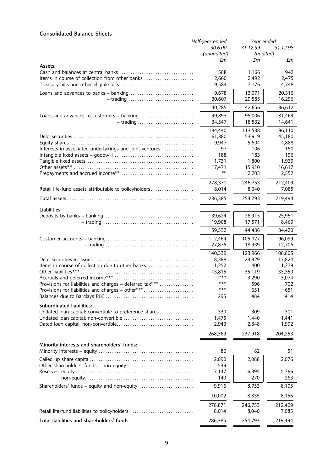# Consolidated Balance Sheets

|                                                          | Half-year ended | Year ended           |         |
|----------------------------------------------------------|-----------------|----------------------|---------|
|                                                          | 30.6.00         | 31.12.99<br>31.12.98 |         |
|                                                          | (unaudited)     | (audited)            |         |
| Assets:                                                  | £m              | £m                   | £m      |
|                                                          | 588             | 1,166                | 942     |
| Items in course of collection from other banks           | 2,660           | 2,492                | 2,475   |
|                                                          | 9,584           | 7,176                | 4,748   |
|                                                          | 9,678           | 13,071               | 20,316  |
| $-$ trading                                              | 30,607          | 29,585               | 16,296  |
|                                                          | 40,285          | 42,656               | 36,612  |
|                                                          | 99.893          | 95,006               | 81,469  |
|                                                          | 34,547          | 18,532               | 14,641  |
|                                                          | 134,440         | 113,538              | 96,110  |
|                                                          | 61,380          | 53,919               | 45,180  |
|                                                          | 9,947           | 5,604                | 4,888   |
| Interests in associated undertakings and joint ventures  | 97              | 106                  | 150     |
|                                                          | 188             | 183                  | 196     |
|                                                          | 1,731           | 1,800                | 1,939   |
|                                                          | 17,471<br>$***$ | 15,910               | 16,617  |
|                                                          |                 | 2,203                | 2,552   |
|                                                          | 278,371         | 246,753              | 212,409 |
| Retail life-fund assets attributable to policyholders    | 8,014           | 8,040                | 7.085   |
|                                                          | 286,385         | 254,793              | 219,494 |
| Liabilities:                                             |                 |                      |         |
|                                                          | 39,624          | 26,915               | 25,951  |
|                                                          | 19,908          | 17,571               | 8,469   |
|                                                          | 59,532          | 44,486               | 34,420  |
|                                                          | 112,464         | 105,027              | 96,099  |
|                                                          | 27,875          | 18,939               | 12,706  |
|                                                          | 140,339         | 123,966              | 108,805 |
|                                                          | 18,388          | 23,329               | 17,824  |
| Items in course of collection due to other banks         | 1,252           | 1,400                | 1,279   |
| Other liabilities***                                     | 43.815          | 35,119               | 33,350  |
|                                                          | ***             | 3,290                | 3,074   |
| Provisions for liabilities and charges - deferred tax*** | ***             | 596                  | 702     |
| Provisions for liabilities and charges - other***        | ***             | 651                  | 651     |
|                                                          | 295             | 484                  | 414     |
| Subordinated liabilities:                                |                 |                      |         |
| Undated loan capital: convertible to preference shares   | 330             | 309                  | 301     |
|                                                          | 1,475           | 1,440                | 1,441   |
|                                                          | 2,943           | 2,848                | 1,992   |
|                                                          | 268,369         | 237,918              | 204,253 |
| Minority interests and shareholders' funds:              |                 |                      |         |
|                                                          | 86              | 82                   | 51      |
|                                                          | 2,090           | 2,088                | 2,076   |
|                                                          | 539             |                      |         |
|                                                          | 7,147           | 6,395                | 5,766   |
|                                                          | 140             | 270                  | 263     |
| Shareholders' funds – equity and non-equity              | 9,916           | 8,753                | 8,105   |
|                                                          | 10,002          | 8,835                | 8,156   |
|                                                          | 278,871         | 246,753              | 212,409 |
| Retail life-fund liabilities to policyholders            | 8,014           | 8,040                | 7,085   |
| Total liabilities and shareholders' funds                | 286,385         | 254,793              | 219,494 |
|                                                          |                 |                      |         |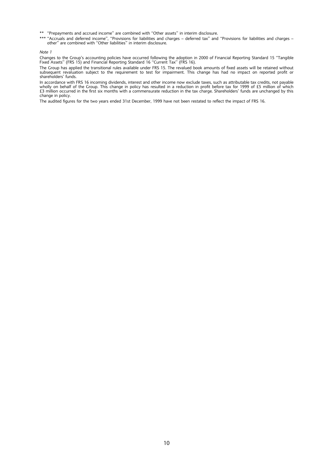- \*\* "Prepayments and accrued income" are combined with "Other assets" in interim disclosure.
- \*\*\* "Accruals and deferred income", "Provisions for liabilities and charges deferred tax" and "Provisions for liabilities and charges –<br>other" are combined with "Other liabilities" in interim disclosure.

Note 1

Changes to the Group's accounting policies have occurred following the adoption in 2000 of Financial Reporting Standard 15 "Tangible<br>Fixed Assets'' (FRS 15) and Financial Reporting Standard 16 "Current Tax" (FRS 16).

The Group has applied the transitional rules available under FRS 15. The revalued book amounts of fixed assets will be retained without<br>subsequent revaluation subject to the requirement to test for impairment. This change shareholders' funds.

In accordance with FRS 16 incoming dividends, interest and other income now exclude taxes, such as attributable tax credits, not payable wholly on behalf of the Group. This change in policy has resulted in a reduction in profit before tax for 1999 of £5 million of which<br>£3 million occurred in the first six months with a commensurate reduction in the tax cha change in policy.

The audited figures for the two years ended 31st December, 1999 have not been restated to reflect the impact of FRS 16.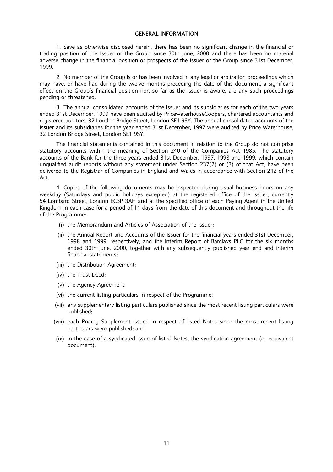# GENERAL INFORMATION

1. Save as otherwise disclosed herein, there has been no significant change in the financial or trading position of the Issuer or the Group since 30th June, 2000 and there has been no material adverse change in the financial position or prospects of the Issuer or the Group since 31st December, 1999.

2. No member of the Group is or has been involved in any legal or arbitration proceedings which may have, or have had during the twelve months preceding the date of this document, a significant effect on the Group's financial position nor, so far as the Issuer is aware, are any such proceedings pending or threatened.

3. The annual consolidated accounts of the Issuer and its subsidiaries for each of the two years ended 31st December, 1999 have been audited by PricewaterhouseCoopers, chartered accountants and registered auditors, 32 London Bridge Street, London SE1 9SY. The annual consolidated accounts of the Issuer and its subsidiaries for the year ended 31st December, 1997 were audited by Price Waterhouse, 32 London Bridge Street, London SE1 9SY.

The financial statements contained in this document in relation to the Group do not comprise statutory accounts within the meaning of Section 240 of the Companies Act 1985. The statutory accounts of the Bank for the three years ended 31st December, 1997, 1998 and 1999, which contain unqualified audit reports without any statement under Section 237(2) or (3) of that Act, have been delivered to the Registrar of Companies in England and Wales in accordance with Section 242 of the Act.

4. Copies of the following documents may be inspected during usual business hours on any weekday (Saturdays and public holidays excepted) at the registered office of the Issuer, currently 54 Lombard Street, London EC3P 3AH and at the specified office of each Paying Agent in the United Kingdom in each case for a period of 14 days from the date of this document and throughout the life of the Programme:

- (i) the Memorandum and Articles of Association of the Issuer;
- (ii) the Annual Report and Accounts of the Issuer for the financial years ended 31st December, 1998 and 1999, respectively, and the Interim Report of Barclays PLC for the six months ended 30th June, 2000, together with any subsequently published year end and interim financial statements;
- (iii) the Distribution Agreement;
- (iv) the Trust Deed;
- (v) the Agency Agreement;
- (vi) the current listing particulars in respect of the Programme;
- (vii) any supplementary listing particulars published since the most recent listing particulars were published;
- (viii) each Pricing Supplement issued in respect of listed Notes since the most recent listing particulars were published; and
- (ix) in the case of a syndicated issue of listed Notes, the syndication agreement (or equivalent document).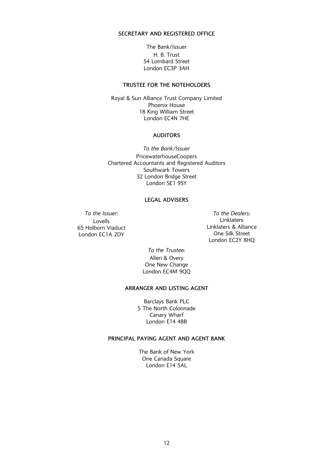# SECRETARY AND REGISTERED OFFICE

The Bank/Issuer H. B. Trust 54 Lombard Street London EC3P 3AH

# TRUSTEE FOR THE NOTEHOLDERS

Royal & Sun Alliance Trust Company Limited Phoenix House 18 King William Street London EC4N 7HE

# AUDITORS

To the Bank/Issuer PricewaterhouseCoopers Chartered Accountants and Registered Auditors Southwark Towers 32 London Bridge Street London SE1 9SY

# LEGAL ADVISERS

Lovells 65 Holborn Viaduct London EC1A 2DY

To the Issuer: To the Dealers: Linklaters Linklaters & Alliance One Silk Street London EC2Y 8HQ

> To the Trustee: Allen & Overy One New Change London EC4M 9QQ

# ARRANGER AND LISTING AGENT

Barclays Bank PLC 5 The North Colonnade Canary Wharf London E14 4BB

# PRINCIPAL PAYING AGENT AND AGENT BANK

The Bank of New York One Canada Square London E14 5AL